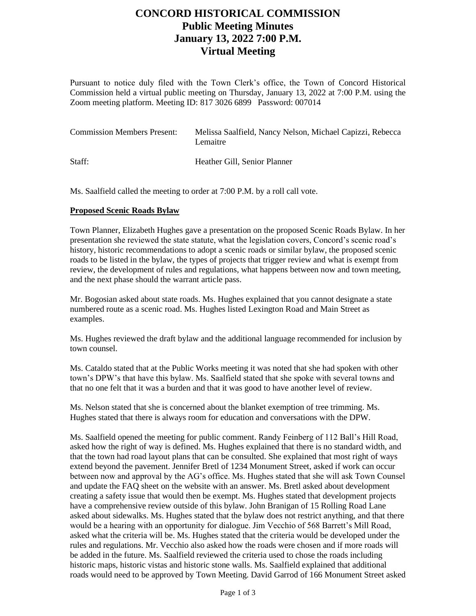# **CONCORD HISTORICAL COMMISSION Public Meeting Minutes January 13, 2022 7:00 P.M. Virtual Meeting**

Pursuant to notice duly filed with the Town Clerk's office, the Town of Concord Historical Commission held a virtual public meeting on Thursday, January 13, 2022 at 7:00 P.M. using the Zoom meeting platform. Meeting ID: 817 3026 6899 Password: 007014

| <b>Commission Members Present:</b> | Melissa Saalfield, Nancy Nelson, Michael Capizzi, Rebecca<br>Lemaitre |
|------------------------------------|-----------------------------------------------------------------------|
| Staff:                             | Heather Gill, Senior Planner                                          |

Ms. Saalfield called the meeting to order at 7:00 P.M. by a roll call vote.

#### **Proposed Scenic Roads Bylaw**

Town Planner, Elizabeth Hughes gave a presentation on the proposed Scenic Roads Bylaw. In her presentation she reviewed the state statute, what the legislation covers, Concord's scenic road's history, historic recommendations to adopt a scenic roads or similar bylaw, the proposed scenic roads to be listed in the bylaw, the types of projects that trigger review and what is exempt from review, the development of rules and regulations, what happens between now and town meeting, and the next phase should the warrant article pass.

Mr. Bogosian asked about state roads. Ms. Hughes explained that you cannot designate a state numbered route as a scenic road. Ms. Hughes listed Lexington Road and Main Street as examples.

Ms. Hughes reviewed the draft bylaw and the additional language recommended for inclusion by town counsel.

Ms. Cataldo stated that at the Public Works meeting it was noted that she had spoken with other town's DPW's that have this bylaw. Ms. Saalfield stated that she spoke with several towns and that no one felt that it was a burden and that it was good to have another level of review.

Ms. Nelson stated that she is concerned about the blanket exemption of tree trimming. Ms. Hughes stated that there is always room for education and conversations with the DPW.

Ms. Saalfield opened the meeting for public comment. Randy Feinberg of 112 Ball's Hill Road, asked how the right of way is defined. Ms. Hughes explained that there is no standard width, and that the town had road layout plans that can be consulted. She explained that most right of ways extend beyond the pavement. Jennifer Bretl of 1234 Monument Street, asked if work can occur between now and approval by the AG's office. Ms. Hughes stated that she will ask Town Counsel and update the FAQ sheet on the website with an answer. Ms. Bretl asked about development creating a safety issue that would then be exempt. Ms. Hughes stated that development projects have a comprehensive review outside of this bylaw. John Branigan of 15 Rolling Road Lane asked about sidewalks. Ms. Hughes stated that the bylaw does not restrict anything, and that there would be a hearing with an opportunity for dialogue. Jim Vecchio of 568 Barrett's Mill Road, asked what the criteria will be. Ms. Hughes stated that the criteria would be developed under the rules and regulations. Mr. Vecchio also asked how the roads were chosen and if more roads will be added in the future. Ms. Saalfield reviewed the criteria used to chose the roads including historic maps, historic vistas and historic stone walls. Ms. Saalfield explained that additional roads would need to be approved by Town Meeting. David Garrod of 166 Monument Street asked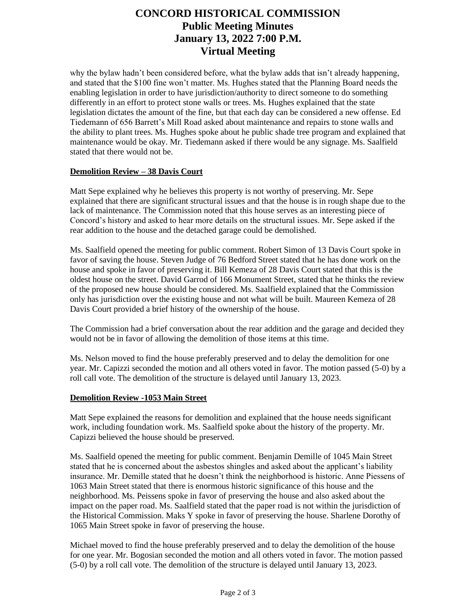# **CONCORD HISTORICAL COMMISSION Public Meeting Minutes January 13, 2022 7:00 P.M. Virtual Meeting**

why the bylaw hadn't been considered before, what the bylaw adds that isn't already happening, and stated that the \$100 fine won't matter. Ms. Hughes stated that the Planning Board needs the enabling legislation in order to have jurisdiction/authority to direct someone to do something differently in an effort to protect stone walls or trees. Ms. Hughes explained that the state legislation dictates the amount of the fine, but that each day can be considered a new offense. Ed Tiedemann of 656 Barrett's Mill Road asked about maintenance and repairs to stone walls and the ability to plant trees. Ms. Hughes spoke about he public shade tree program and explained that maintenance would be okay. Mr. Tiedemann asked if there would be any signage. Ms. Saalfield stated that there would not be.

### **Demolition Review – 38 Davis Court**

Matt Sepe explained why he believes this property is not worthy of preserving. Mr. Sepe explained that there are significant structural issues and that the house is in rough shape due to the lack of maintenance. The Commission noted that this house serves as an interesting piece of Concord's history and asked to hear more details on the structural issues. Mr. Sepe asked if the rear addition to the house and the detached garage could be demolished.

Ms. Saalfield opened the meeting for public comment. Robert Simon of 13 Davis Court spoke in favor of saving the house. Steven Judge of 76 Bedford Street stated that he has done work on the house and spoke in favor of preserving it. Bill Kemeza of 28 Davis Court stated that this is the oldest house on the street. David Garrod of 166 Monument Street, stated that he thinks the review of the proposed new house should be considered. Ms. Saalfield explained that the Commission only has jurisdiction over the existing house and not what will be built. Maureen Kemeza of 28 Davis Court provided a brief history of the ownership of the house.

The Commission had a brief conversation about the rear addition and the garage and decided they would not be in favor of allowing the demolition of those items at this time.

Ms. Nelson moved to find the house preferably preserved and to delay the demolition for one year. Mr. Capizzi seconded the motion and all others voted in favor. The motion passed (5-0) by a roll call vote. The demolition of the structure is delayed until January 13, 2023.

### **Demolition Review -1053 Main Street**

Matt Sepe explained the reasons for demolition and explained that the house needs significant work, including foundation work. Ms. Saalfield spoke about the history of the property. Mr. Capizzi believed the house should be preserved.

Ms. Saalfield opened the meeting for public comment. Benjamin Demille of 1045 Main Street stated that he is concerned about the asbestos shingles and asked about the applicant's liability insurance. Mr. Demille stated that he doesn't think the neighborhood is historic. Anne Piessens of 1063 Main Street stated that there is enormous historic significance of this house and the neighborhood. Ms. Peissens spoke in favor of preserving the house and also asked about the impact on the paper road. Ms. Saalfield stated that the paper road is not within the jurisdiction of the Historical Commission. Maks Y spoke in favor of preserving the house. Sharlene Dorothy of 1065 Main Street spoke in favor of preserving the house.

Michael moved to find the house preferably preserved and to delay the demolition of the house for one year. Mr. Bogosian seconded the motion and all others voted in favor. The motion passed (5-0) by a roll call vote. The demolition of the structure is delayed until January 13, 2023.